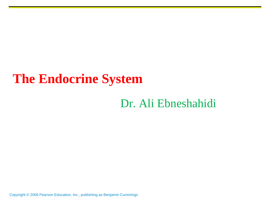# **The Endocrine System**

### Dr. Ali Ebneshahidi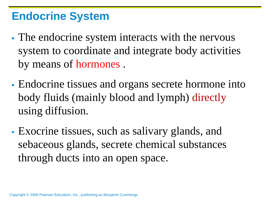### **Endocrine System**

- The endocrine system interacts with the nervous system to coordinate and integrate body activities by means of hormones .
- Endocrine tissues and organs secrete hormone into body fluids (mainly blood and lymph) directly using diffusion.
- Exocrine tissues, such as salivary glands, and sebaceous glands, secrete chemical substances through ducts into an open space.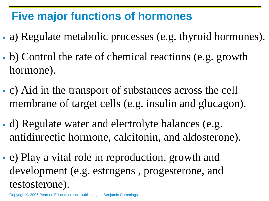# **Five major functions of hormones**

- a) Regulate metabolic processes (e.g. thyroid hormones).
- b) Control the rate of chemical reactions (e.g. growth hormone).
- c) Aid in the transport of substances across the cell membrane of target cells (e.g. insulin and glucagon).
- d) Regulate water and electrolyte balances (e.g. antidiurectic hormone, calcitonin, and aldosterone).
- e) Play a vital role in reproduction, growth and development (e.g. estrogens , progesterone, and testosterone).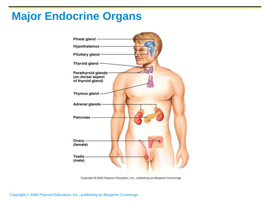## **Major Endocrine Organs**

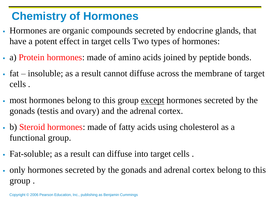# **Chemistry of Hormones**

- Hormones are organic compounds secreted by endocrine glands, that have a potent effect in target cells Two types of hormones:
- a) Protein hormones: made of amino acids joined by peptide bonds.
- fat insoluble; as a result cannot diffuse across the membrane of target cells .
- If most hormones belong to this group except hormones secreted by the gonads (testis and ovary) and the adrenal cortex.
- b) Steroid hormones: made of fatty acids using cholesterol as a functional group.
- Fat-soluble; as a result can diffuse into target cells .
- only hormones secreted by the gonads and adrenal cortex belong to this group .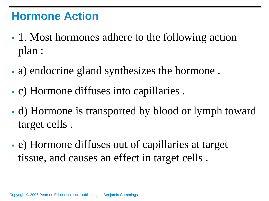### **Hormone Action**

- 1. Most hormones adhere to the following action plan :
- a) endocrine gland synthesizes the hormone .
- c) Hormone diffuses into capillaries .
- d) Hormone is transported by blood or lymph toward target cells .
- e) Hormone diffuses out of capillaries at target tissue, and causes an effect in target cells .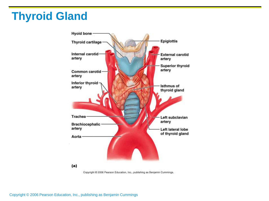# **Thyroid Gland**



Copyright @ 2006 Pearson Education, Inc., publishing as Benjamin Cummings.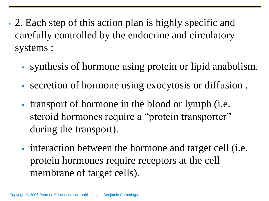- 2. Each step of this action plan is highly specific and carefully controlled by the endocrine and circulatory systems :
	- synthesis of hormone using protein or lipid anabolism.
	- secretion of hormone using exocytosis or diffusion .
	- transport of hormone in the blood or lymph (i.e. steroid hormones require a "protein transporter" during the transport).
	- interaction between the hormone and target cell (i.e. protein hormones require receptors at the cell membrane of target cells).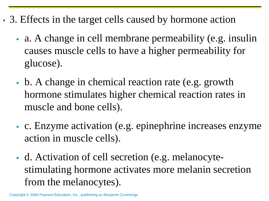- 3. Effects in the target cells caused by hormone action
	- a. A change in cell membrane permeability (e.g. insulin causes muscle cells to have a higher permeability for glucose).
	- b. A change in chemical reaction rate (e.g. growth hormone stimulates higher chemical reaction rates in muscle and bone cells).
	- c. Enzyme activation (e.g. epinephrine increases enzyme action in muscle cells).
	- d. Activation of cell secretion (e.g. melanocytestimulating hormone activates more melanin secretion from the melanocytes).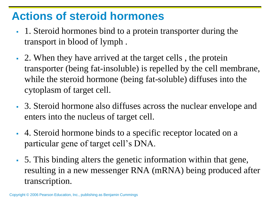### **Actions of steroid hormones**

- 1. Steroid hormones bind to a protein transporter during the transport in blood of lymph .
- 2. When they have arrived at the target cells , the protein transporter (being fat-insoluble) is repelled by the cell membrane, while the steroid hormone (being fat-soluble) diffuses into the cytoplasm of target cell.
- 3. Steroid hormone also diffuses across the nuclear envelope and enters into the nucleus of target cell.
- 4. Steroid hormone binds to a specific receptor located on a particular gene of target cell's DNA.
- 5. This binding alters the genetic information within that gene, resulting in a new messenger RNA (mRNA) being produced after transcription.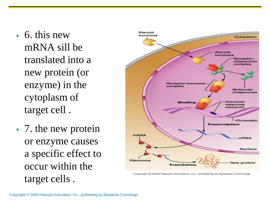- 6. this new mRNA sill be translated into a new protein (or enzyme) in the cytoplasm of target cell .
- 7. the new protein or enzyme causes a specific effect to occur within the target cells .

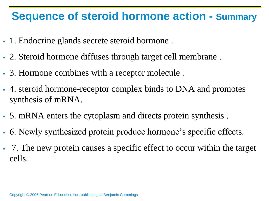### **Sequence of steroid hormone action - Summary**

- 1. Endocrine glands secrete steroid hormone .
- 2. Steroid hormone diffuses through target cell membrane .
- 3. Hormone combines with a receptor molecule .
- 4. steroid hormone-receptor complex binds to DNA and promotes synthesis of mRNA.
- 5. mRNA enters the cytoplasm and directs protein synthesis .
- 6. Newly synthesized protein produce hormone's specific effects.
- 7. The new protein causes a specific effect to occur within the target cells.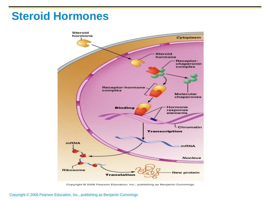### **Steroid Hormones**



Copyright @ 2006 Pearson Education, Inc., publishing as Benjamin Cummings.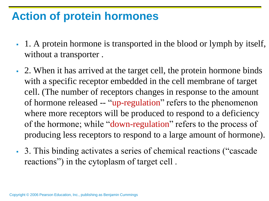### **Action of protein hormones**

- 1. A protein hormone is transported in the blood or lymph by itself, without a transporter.
- 2. When it has arrived at the target cell, the protein hormone binds with a specific receptor embedded in the cell membrane of target cell. (The number of receptors changes in response to the amount of hormone released -- "up-regulation" refers to the phenomenon where more receptors will be produced to respond to a deficiency of the hormone; while "down-regulation" refers to the process of producing less receptors to respond to a large amount of hormone).
- 3. This binding activates a series of chemical reactions ("cascade reactions") in the cytoplasm of target cell .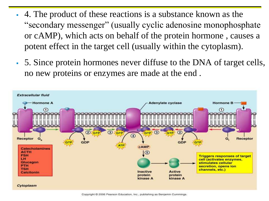- 4. The product of these reactions is a substance known as the "secondary messenger" (usually cyclic adenosine monophosphate or cAMP), which acts on behalf of the protein hormone , causes a potent effect in the target cell (usually within the cytoplasm).
- 5. Since protein hormones never diffuse to the DNA of target cells, no new proteins or enzymes are made at the end .



Copyright © 2006 Pearson Education, Inc., publishing as Benjamin Cummings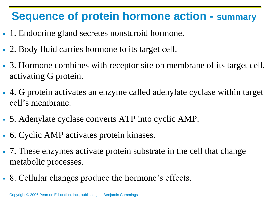# **Sequence of protein hormone action - summary**

- 1. Endocrine gland secretes nonstcroid hormone.
- 2. Body fluid carries hormone to its target cell.
- 3. Hormone combines with receptor site on membrane of its target cell, activating G protein.
- 4. G protein activates an enzyme called adenylate cyclase within target cell's membrane.
- 5. Adenylate cyclase converts ATP into cyclic AMP.
- 6. Cyclic AMP activates protein kinases.
- 7. These enzymes activate protein substrate in the cell that change metabolic processes.
- 8. Cellular changes produce the hormone's effects.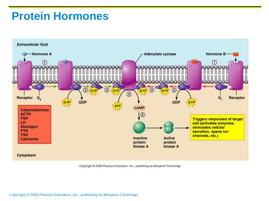### **Protein Hormones**



Copyright @ 2006 Pearson Education, Inc., publishing as Benjamin Cummings.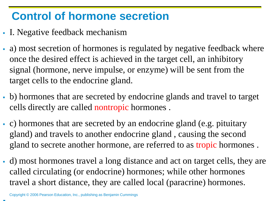# **Control of hormone secretion**

- I. Negative feedback mechanism
- a) most secretion of hormones is regulated by negative feedback where once the desired effect is achieved in the target cell, an inhibitory signal (hormone, nerve impulse, or enzyme) will be sent from the target cells to the endocrine gland.
- b) hormones that are secreted by endocrine glands and travel to target cells directly are called nontropic hormones .
- c) hormones that are secreted by an endocrine gland (e.g. pituitary gland) and travels to another endocrine gland , causing the second gland to secrete another hormone, are referred to as tropic hormones .
- d) most hormones travel a long distance and act on target cells, they are called circulating (or endocrine) hormones; while other hormones travel a short distance, they are called local (paracrine) hormones.

ä,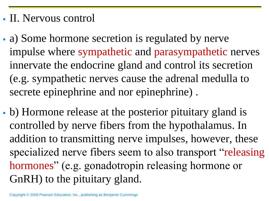### II. Nervous control

- a) Some hormone secretion is regulated by nerve impulse where sympathetic and parasympathetic nerves innervate the endocrine gland and control its secretion (e.g. sympathetic nerves cause the adrenal medulla to secrete epinephrine and nor epinephrine) .
- b) Hormone release at the posterior pituitary gland is controlled by nerve fibers from the hypothalamus. In addition to transmitting nerve impulses, however, these specialized nerve fibers seem to also transport "releasing hormones" (e.g. gonadotropin releasing hormone or GnRH) to the pituitary gland.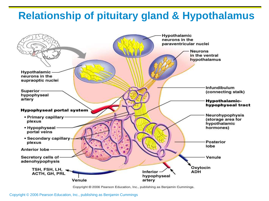#### **Relationship of pituitary gland & Hypothalamus**



Copyright @ 2006 Pearson Education, Inc., publishing as Benjamin Cummings.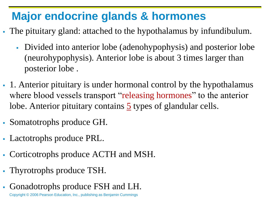# **Major endocrine glands & hormones**

- The pituitary gland: attached to the hypothalamus by infundibulum.
	- Divided into anterior lobe (adenohypophysis) and posterior lobe (neurohypophysis). Anterior lobe is about 3 times larger than posterior lobe .
- 1. Anterior pituitary is under hormonal control by the hypothalamus where blood vessels transport "releasing hormones" to the anterior lobe. Anterior pituitary contains  $\frac{5}{9}$  types of glandular cells.
- Somatotrophs produce GH.
- Lactotrophs produce PRL.
- Corticotrophs produce ACTH and MSH.
- Thyrotrophs produce TSH.
- Gonadotrophs produce FSH and LH.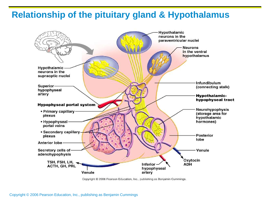#### **Relationship of the pituitary gland & Hypothalamus**



Copyright © 2006 Pearson Education, Inc., publishing as Benjamin Cummings.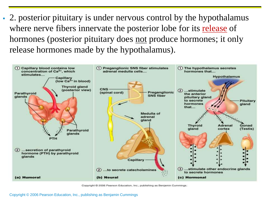2. posterior pituitary is under nervous control by the hypothalamus where nerve fibers innervate the posterior lobe for its release of hormones (posterior pituitary does not produce hormones; it only release hormones made by the hypothalamus).



Copyright © 2006 Pearson Education, Inc., publishing as Benjamin Cummings.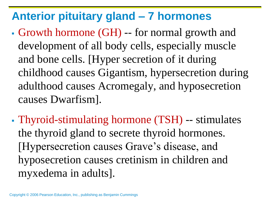# **Anterior pituitary gland – 7 hormones**

- Growth hormone (GH) -- for normal growth and development of all body cells, especially muscle and bone cells. [Hyper secretion of it during childhood causes Gigantism, hypersecretion during adulthood causes Acromegaly, and hyposecretion causes Dwarfism].
- Thyroid-stimulating hormone (TSH) -- stimulates the thyroid gland to secrete thyroid hormones. [Hypersecretion causes Grave's disease, and hyposecretion causes cretinism in children and myxedema in adults].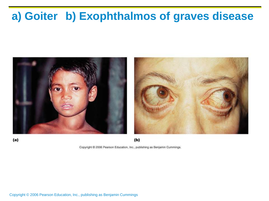# **a) Goiter b) Exophthalmos of graves disease**



Copyright @ 2006 Pearson Education, Inc., publishing as Benjamin Cummings.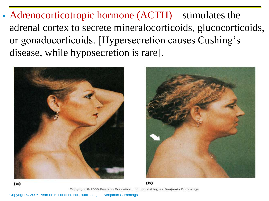Adrenocorticotropic hormone (ACTH) – stimulates the adrenal cortex to secrete mineralocorticoids, glucocorticoids, or gonadocorticoids. [Hypersecretion causes Cushing's disease, while hyposecretion is rare].





Copyright @ 2006 Pearson Education, Inc., publishing as Benjamin Cummings.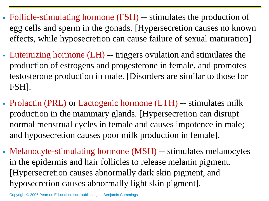- Follicle-stimulating hormone (FSH) -- stimulates the production of egg cells and sperm in the gonads. [Hypersecretion causes no known effects, while hyposecretion can cause failure of sexual maturation]
- Luteinizing hormone (LH) -- triggers ovulation and stimulates the production of estrogens and progesterone in female, and promotes testosterone production in male. [Disorders are similar to those for FSH].
- Prolactin (PRL) or Lactogenic hormone (LTH) -- stimulates milk production in the mammary glands. [Hypersecretion can disrupt normal menstrual cycles in female and causes impotence in male; and hyposecretion causes poor milk production in female].
- Melanocyte-stimulating hormone (MSH) -- stimulates melanocytes in the epidermis and hair follicles to release melanin pigment. [Hypersecretion causes abnormally dark skin pigment, and hyposecretion causes abnormally light skin pigment].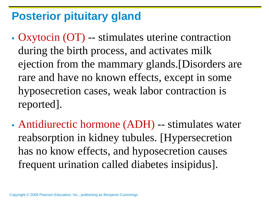# **Posterior pituitary gland**

- Oxytocin (OT) -- stimulates uterine contraction during the birth process, and activates milk ejection from the mammary glands.[Disorders are rare and have no known effects, except in some hyposecretion cases, weak labor contraction is reported].
- Antidiurectic hormone (ADH) -- stimulates water reabsorption in kidney tubules. [Hypersecretion has no know effects, and hyposecretion causes frequent urination called diabetes insipidus].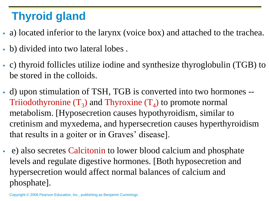# **Thyroid gland**

- a) located inferior to the larynx (voice box) and attached to the trachea.
- b) divided into two lateral lobes .
- c) thyroid follicles utilize iodine and synthesize thyroglobulin (TGB) to be stored in the colloids.
- d) upon stimulation of TSH, TGB is converted into two hormones -- Triiodothyronine  $(T_3)$  and Thyroxine  $(T_4)$  to promote normal metabolism. [Hyposecretion causes hypothyroidism, similar to cretinism and myxedema, and hypersecretion causes hyperthyroidism that results in a goiter or in Graves' disease].
- e) also secretes Calcitonin to lower blood calcium and phosphate levels and regulate digestive hormones. [Both hyposecretion and hypersecretion would affect normal balances of calcium and phosphate].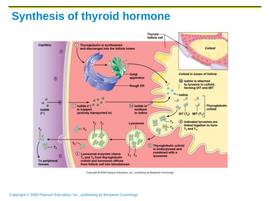# **Synthesis of thyroid hormone**



Copyright © 2006 Pearson Education, Inc., publishing as Benjamin Cummings.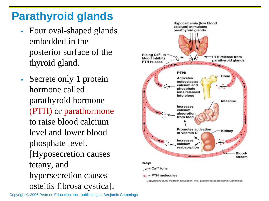# **Parathyroid glands**

- Four oval-shaped glands embedded in the posterior surface of the thyroid gland.
- Secrete only 1 protein hormone called parathyroid hormone (PTH) or parathormone to raise blood calcium level and lower blood phosphate level. [Hyposecretion causes tetany, and hypersecretion causes osteitis fibrosa cystica].

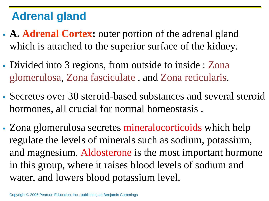# **Adrenal gland**

- **A. Adrenal Cortex:** outer portion of the adrenal gland which is attached to the superior surface of the kidney.
- Divided into 3 regions, from outside to inside : Zona glomerulosa, Zona fasciculate , and Zona reticularis.
- Secretes over 30 steroid-based substances and several steroid hormones, all crucial for normal homeostasis .
- Zona glomerulosa secretes mineralocorticoids which help regulate the levels of minerals such as sodium, potassium, and magnesium. Aldosterone is the most important hormone in this group, where it raises blood levels of sodium and water, and lowers blood potassium level.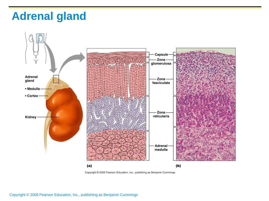### **Adrenal gland**



Copyright @ 2006 Pearson Education, Inc., publishing as Benjamin Cummings.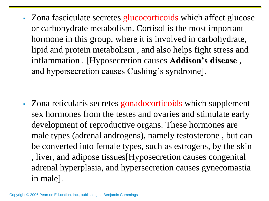Zona fasciculate secretes glucocorticoids which affect glucose or carbohydrate metabolism. Cortisol is the most important hormone in this group, where it is involved in carbohydrate, lipid and protein metabolism , and also helps fight stress and inflammation . [Hyposecretion causes **Addison's disease** , and hypersecretion causes Cushing's syndrome].

• Zona reticularis secretes gonadocorticoids which supplement sex hormones from the testes and ovaries and stimulate early development of reproductive organs. These hormones are male types (adrenal androgens), namely testosterone , but can be converted into female types, such as estrogens, by the skin , liver, and adipose tissues[Hyposecretion causes congenital adrenal hyperplasia, and hypersecretion causes gynecomastia in male].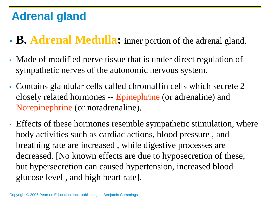# **Adrenal gland**

- **B. Adrenal Medulla:** inner portion of the adrenal gland.
- Made of modified nerve tissue that is under direct regulation of sympathetic nerves of the autonomic nervous system.
- Contains glandular cells called chromaffin cells which secrete 2 closely related hormones -- Epinephrine (or adrenaline) and Norepinephrine (or noradrenaline).
- Effects of these hormones resemble sympathetic stimulation, where body activities such as cardiac actions, blood pressure , and breathing rate are increased , while digestive processes are decreased. [No known effects are due to hyposecretion of these, but hypersecretion can caused hypertension, increased blood glucose level , and high heart rate].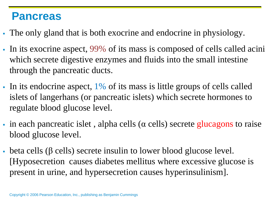#### **Pancreas**

- The only gland that is both exocrine and endocrine in physiology.
- In its exocrine aspect, 99% of its mass is composed of cells called acini which secrete digestive enzymes and fluids into the small intestine through the pancreatic ducts.
- In its endocrine aspect,  $1\%$  of its mass is little groups of cells called islets of langerhans (or pancreatic islets) which secrete hormones to regulate blood glucose level.
- in each pancreatic islet, alpha cells ( $\alpha$  cells) secrete glucagons to raise blood glucose level.
- beta cells (β cells) secrete insulin to lower blood glucose level. [Hyposecretion causes diabetes mellitus where excessive glucose is present in urine, and hypersecretion causes hyperinsulinism].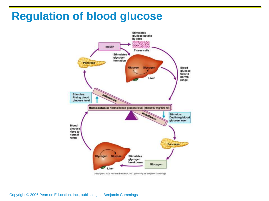### **Regulation of blood glucose**



Copyright @ 2006 Pearson Education, Inc., publishing as Benjamin Cummings.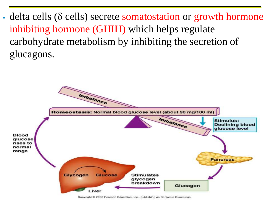$\bullet$  delta cells ( $\delta$  cells) secrete somatostation or growth hormone inhibiting hormone (GHIH) which helps regulate carbohydrate metabolism by inhibiting the secretion of glucagons.

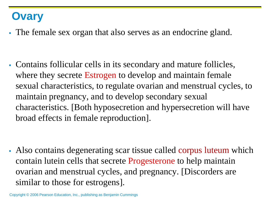### **Ovary**

The female sex organ that also serves as an endocrine gland.

 Contains follicular cells in its secondary and mature follicles, where they secrete Estrogen to develop and maintain female sexual characteristics, to regulate ovarian and menstrual cycles, to maintain pregnancy, and to develop secondary sexual characteristics. [Both hyposecretion and hypersecretion will have broad effects in female reproduction].

 Also contains degenerating scar tissue called corpus luteum which contain lutein cells that secrete Progesterone to help maintain ovarian and menstrual cycles, and pregnancy. [Discorders are similar to those for estrogens].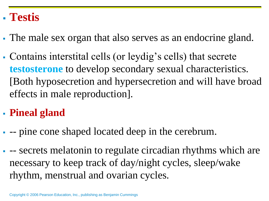### **Testis**

- The male sex organ that also serves as an endocrine gland.
- Contains interstital cells (or leydig's cells) that secrete **testosterone** to develop secondary sexual characteristics. [Both hyposecretion and hypersecretion and will have broad effects in male reproduction].

### **Pineal gland**

- -- pine cone shaped located deep in the cerebrum.
- -- secrets melatonin to regulate circadian rhythms which are necessary to keep track of day/night cycles, sleep/wake rhythm, menstrual and ovarian cycles.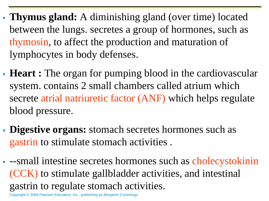- **Thymus gland:** A diminishing gland (over time) located between the lungs. secretes a group of hormones, such as thymosin, to affect the production and maturation of lymphocytes in body defenses.
- **Heart :** The organ for pumping blood in the cardiovascular system. contains 2 small chambers called atrium which secrete atrial natriuretic factor (ANF) which helps regulate blood pressure.
- **Digestive organs:** stomach secretes hormones such as gastrin to stimulate stomach activities .
- --small intestine secretes hormones such as cholecystokinin (CCK) to stimulate gallbladder activities, and intestinal gastrin to regulate stomach activities.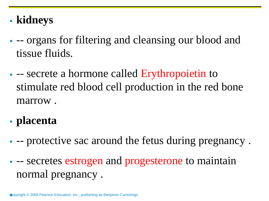# **kidneys**

- -- organs for filtering and cleansing our blood and tissue fluids.
- **-** secrete a hormone called Erythropoietin to stimulate red blood cell production in the red bone marrow .
- **placenta**
- -- protective sac around the fetus during pregnancy .
- secretes estrogen and progesterone to maintain normal pregnancy .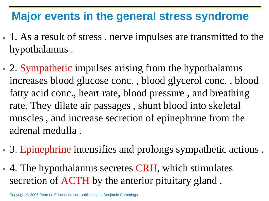### **Major events in the general stress syndrome**

- 1. As a result of stress , nerve impulses are transmitted to the hypothalamus .
- 2. Sympathetic impulses arising from the hypothalamus increases blood glucose conc. , blood glycerol conc. , blood fatty acid conc., heart rate, blood pressure , and breathing rate. They dilate air passages , shunt blood into skeletal muscles , and increase secretion of epinephrine from the adrenal medulla .
- 3. Epinephrine intensifies and prolongs sympathetic actions .
- 4. The hypothalamus secretes CRH, which stimulates secretion of ACTH by the anterior pituitary gland .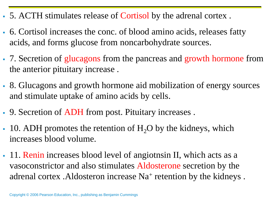- 5. ACTH stimulates release of Cortisol by the adrenal cortex .
- 6. Cortisol increases the conc. of blood amino acids, releases fatty acids, and forms glucose from noncarbohydrate sources.
- 7. Secretion of glucagons from the pancreas and growth hormone from the anterior pituitary increase .
- 8. Glucagons and growth hormone aid mobilization of energy sources and stimulate uptake of amino acids by cells.
- 9. Secretion of ADH from post. Pituitary increases .
- $-10.$  ADH promotes the retention of H<sub>2</sub>O by the kidneys, which increases blood volume.
- 11. Renin increases blood level of angiotnsin II, which acts as a vasoconstrictor and also stimulates Aldosterone secretion by the adrenal cortex . Aldosteron increase Na<sup>+</sup> retention by the kidneys.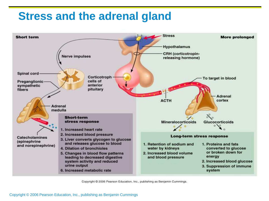### **Stress and the adrenal gland**



Copyright © 2006 Pearson Education, Inc., publishing as Benjamin Cummings.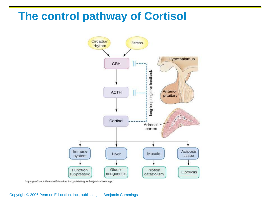### **The control pathway of Cortisol**



Copyright @ 2004 Pearson Education, Inc., publishing as Benjamin Cummings.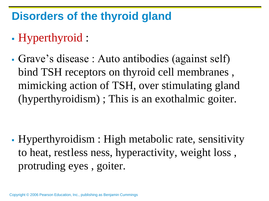## **Disorders of the thyroid gland**

- Hyperthyroid :
- Grave's disease : Auto antibodies (against self) bind TSH receptors on thyroid cell membranes , mimicking action of TSH, over stimulating gland (hyperthyroidism) ; This is an exothalmic goiter.

 Hyperthyroidism : High metabolic rate, sensitivity to heat, restless ness, hyperactivity, weight loss , protruding eyes , goiter.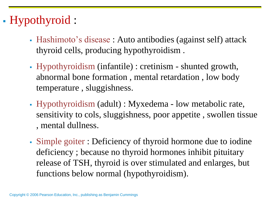# Hypothyroid :

- Hashimoto's disease : Auto antibodies (against self) attack thyroid cells, producing hypothyroidism .
- Hypothyroidism (infantile) : cretinism shunted growth, abnormal bone formation , mental retardation , low body temperature , sluggishness.
- Hypothyroidism (adult) : Myxedema low metabolic rate, sensitivity to cols, sluggishness, poor appetite , swollen tissue , mental dullness.
- Simple goiter : Deficiency of thyroid hormone due to iodine deficiency ; because no thyroid hormones inhibit pituitary release of TSH, thyroid is over stimulated and enlarges, but functions below normal (hypothyroidism).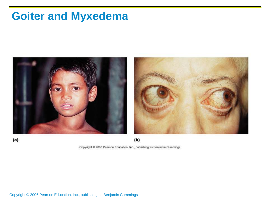# **Goiter and Myxedema**



Copyright @ 2006 Pearson Education, Inc., publishing as Benjamin Cummings.